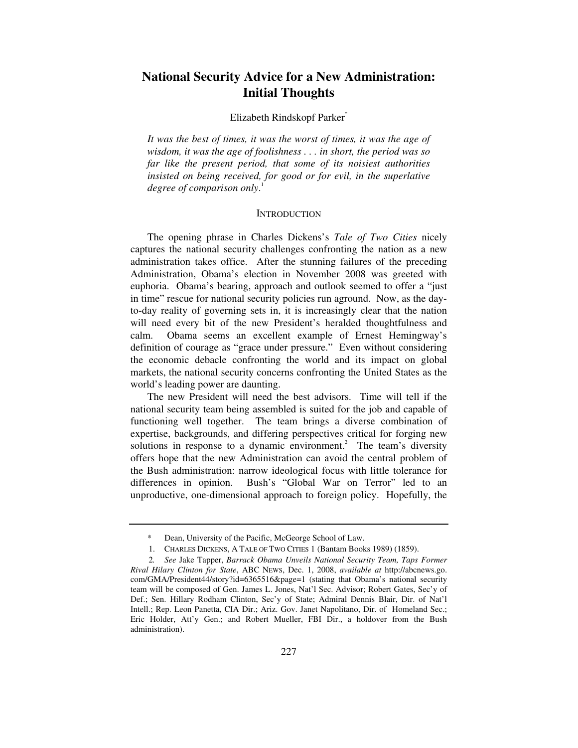# **National Security Advice for a New Administration: Initial Thoughts**

#### Elizabeth Rindskopf Parker\*

*It was the best of times, it was the worst of times, it was the age of wisdom, it was the age of foolishness . . . in short, the period was so far like the present period, that some of its noisiest authorities insisted on being received, for good or for evil, in the superlative degree of comparison only*. 1

#### **INTRODUCTION**

The opening phrase in Charles Dickens's *Tale of Two Cities* nicely captures the national security challenges confronting the nation as a new administration takes office. After the stunning failures of the preceding Administration, Obama's election in November 2008 was greeted with euphoria. Obama's bearing, approach and outlook seemed to offer a "just in time" rescue for national security policies run aground. Now, as the dayto-day reality of governing sets in, it is increasingly clear that the nation will need every bit of the new President's heralded thoughtfulness and calm. Obama seems an excellent example of Ernest Hemingway's definition of courage as "grace under pressure." Even without considering the economic debacle confronting the world and its impact on global markets, the national security concerns confronting the United States as the world's leading power are daunting.

The new President will need the best advisors. Time will tell if the national security team being assembled is suited for the job and capable of functioning well together. The team brings a diverse combination of expertise, backgrounds, and differing perspectives critical for forging new solutions in response to a dynamic environment.<sup>2</sup> The team's diversity offers hope that the new Administration can avoid the central problem of the Bush administration: narrow ideological focus with little tolerance for differences in opinion. Bush's "Global War on Terror" led to an unproductive, one-dimensional approach to foreign policy. Hopefully, the

Dean, University of the Pacific, McGeorge School of Law.

 <sup>1.</sup> CHARLES DICKENS, A TALE OF TWO CITIES 1 (Bantam Books 1989) (1859).

<sup>2</sup>*. See* Jake Tapper, *Barrack Obama Unveils National Security Team, Taps Former Rival Hilary Clinton for State*, ABC NEWS, Dec. 1, 2008, *available at* http://abcnews.go. com/GMA/President44/story?id=6365516&page=1 (stating that Obama's national security team will be composed of Gen. James L. Jones, Nat'l Sec. Advisor; Robert Gates, Sec'y of Def.; Sen. Hillary Rodham Clinton, Sec'y of State; Admiral Dennis Blair, Dir. of Nat'l Intell.; Rep. Leon Panetta, CIA Dir.; Ariz. Gov. Janet Napolitano, Dir. of Homeland Sec.; Eric Holder, Att'y Gen.; and Robert Mueller, FBI Dir., a holdover from the Bush administration).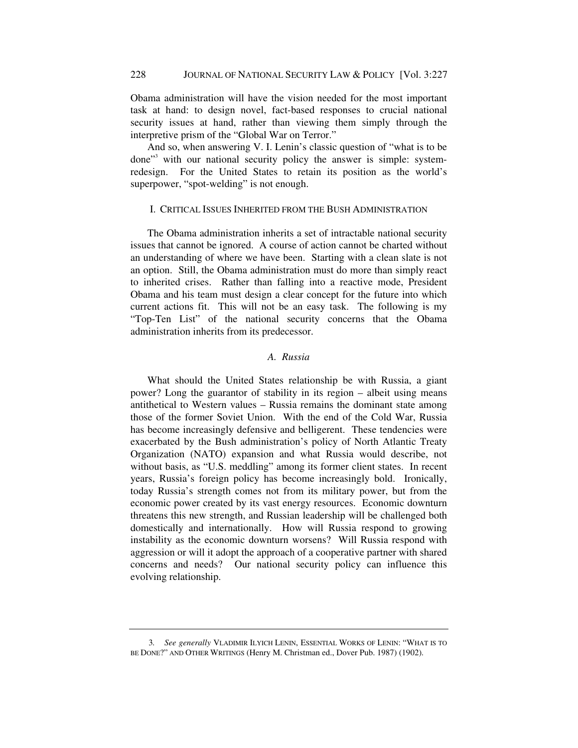Obama administration will have the vision needed for the most important task at hand: to design novel, fact-based responses to crucial national security issues at hand, rather than viewing them simply through the interpretive prism of the "Global War on Terror."

And so, when answering V. I. Lenin's classic question of "what is to be done"<sup>3</sup> with our national security policy the answer is simple: systemredesign. For the United States to retain its position as the world's superpower, "spot-welding" is not enough.

## I. CRITICAL ISSUES INHERITED FROM THE BUSH ADMINISTRATION

The Obama administration inherits a set of intractable national security issues that cannot be ignored. A course of action cannot be charted without an understanding of where we have been. Starting with a clean slate is not an option. Still, the Obama administration must do more than simply react to inherited crises. Rather than falling into a reactive mode, President Obama and his team must design a clear concept for the future into which current actions fit. This will not be an easy task. The following is my "Top-Ten List" of the national security concerns that the Obama administration inherits from its predecessor.

# *A. Russia*

What should the United States relationship be with Russia, a giant power? Long the guarantor of stability in its region – albeit using means antithetical to Western values – Russia remains the dominant state among those of the former Soviet Union. With the end of the Cold War, Russia has become increasingly defensive and belligerent. These tendencies were exacerbated by the Bush administration's policy of North Atlantic Treaty Organization (NATO) expansion and what Russia would describe, not without basis, as "U.S. meddling" among its former client states. In recent years, Russia's foreign policy has become increasingly bold. Ironically, today Russia's strength comes not from its military power, but from the economic power created by its vast energy resources. Economic downturn threatens this new strength, and Russian leadership will be challenged both domestically and internationally. How will Russia respond to growing instability as the economic downturn worsens? Will Russia respond with aggression or will it adopt the approach of a cooperative partner with shared concerns and needs? Our national security policy can influence this evolving relationship.

<sup>3</sup>*. See generally* VLADIMIR ILYICH LENIN, ESSENTIAL WORKS OF LENIN: "WHAT IS TO BE DONE?" AND OTHER WRITINGS (Henry M. Christman ed., Dover Pub. 1987) (1902)*.*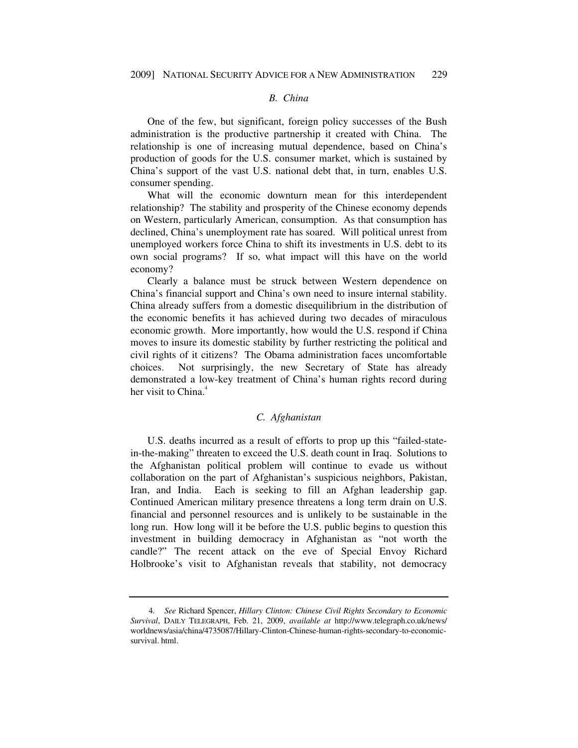#### *B. China*

One of the few, but significant, foreign policy successes of the Bush administration is the productive partnership it created with China. The relationship is one of increasing mutual dependence, based on China's production of goods for the U.S. consumer market, which is sustained by China's support of the vast U.S. national debt that, in turn, enables U.S. consumer spending.

What will the economic downturn mean for this interdependent relationship? The stability and prosperity of the Chinese economy depends on Western, particularly American, consumption. As that consumption has declined, China's unemployment rate has soared. Will political unrest from unemployed workers force China to shift its investments in U.S. debt to its own social programs? If so, what impact will this have on the world economy?

Clearly a balance must be struck between Western dependence on China's financial support and China's own need to insure internal stability. China already suffers from a domestic disequilibrium in the distribution of the economic benefits it has achieved during two decades of miraculous economic growth. More importantly, how would the U.S. respond if China moves to insure its domestic stability by further restricting the political and civil rights of it citizens? The Obama administration faces uncomfortable choices. Not surprisingly, the new Secretary of State has already demonstrated a low-key treatment of China's human rights record during her visit to China. $<sup>4</sup>$ </sup>

## *C. Afghanistan*

U.S. deaths incurred as a result of efforts to prop up this "failed-statein-the-making" threaten to exceed the U.S. death count in Iraq. Solutions to the Afghanistan political problem will continue to evade us without collaboration on the part of Afghanistan's suspicious neighbors, Pakistan, Iran, and India. Each is seeking to fill an Afghan leadership gap. Continued American military presence threatens a long term drain on U.S. financial and personnel resources and is unlikely to be sustainable in the long run. How long will it be before the U.S. public begins to question this investment in building democracy in Afghanistan as "not worth the candle?" The recent attack on the eve of Special Envoy Richard Holbrooke's visit to Afghanistan reveals that stability, not democracy

<sup>4</sup>*. See* Richard Spencer, *Hillary Clinton: Chinese Civil Rights Secondary to Economic Survival*, DAILY TELEGRAPH, Feb. 21, 2009, *available at* http://www.telegraph.co.uk/news/ worldnews/asia/china/4735087/Hillary-Clinton-Chinese-human-rights-secondary-to-economicsurvival. html.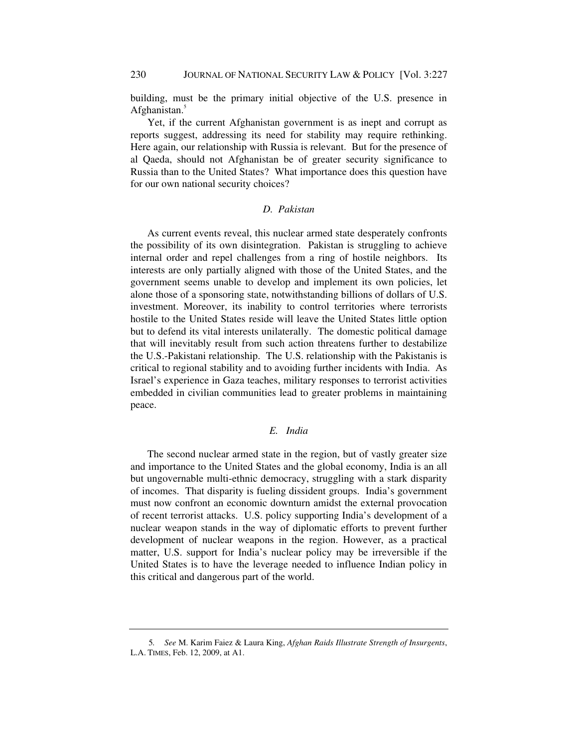building, must be the primary initial objective of the U.S. presence in Afghanistan.<sup>5</sup>

Yet, if the current Afghanistan government is as inept and corrupt as reports suggest, addressing its need for stability may require rethinking. Here again, our relationship with Russia is relevant. But for the presence of al Qaeda, should not Afghanistan be of greater security significance to Russia than to the United States? What importance does this question have for our own national security choices?

## *D. Pakistan*

As current events reveal, this nuclear armed state desperately confronts the possibility of its own disintegration. Pakistan is struggling to achieve internal order and repel challenges from a ring of hostile neighbors. Its interests are only partially aligned with those of the United States, and the government seems unable to develop and implement its own policies, let alone those of a sponsoring state, notwithstanding billions of dollars of U.S. investment. Moreover, its inability to control territories where terrorists hostile to the United States reside will leave the United States little option but to defend its vital interests unilaterally. The domestic political damage that will inevitably result from such action threatens further to destabilize the U.S.-Pakistani relationship. The U.S. relationship with the Pakistanis is critical to regional stability and to avoiding further incidents with India. As Israel's experience in Gaza teaches, military responses to terrorist activities embedded in civilian communities lead to greater problems in maintaining peace.

# *E. India*

The second nuclear armed state in the region, but of vastly greater size and importance to the United States and the global economy, India is an all but ungovernable multi-ethnic democracy, struggling with a stark disparity of incomes. That disparity is fueling dissident groups. India's government must now confront an economic downturn amidst the external provocation of recent terrorist attacks. U.S. policy supporting India's development of a nuclear weapon stands in the way of diplomatic efforts to prevent further development of nuclear weapons in the region. However, as a practical matter, U.S. support for India's nuclear policy may be irreversible if the United States is to have the leverage needed to influence Indian policy in this critical and dangerous part of the world.

<sup>5</sup>*. See* M. Karim Faiez & Laura King, *Afghan Raids Illustrate Strength of Insurgents*, L.A. TIMES, Feb. 12, 2009, at A1.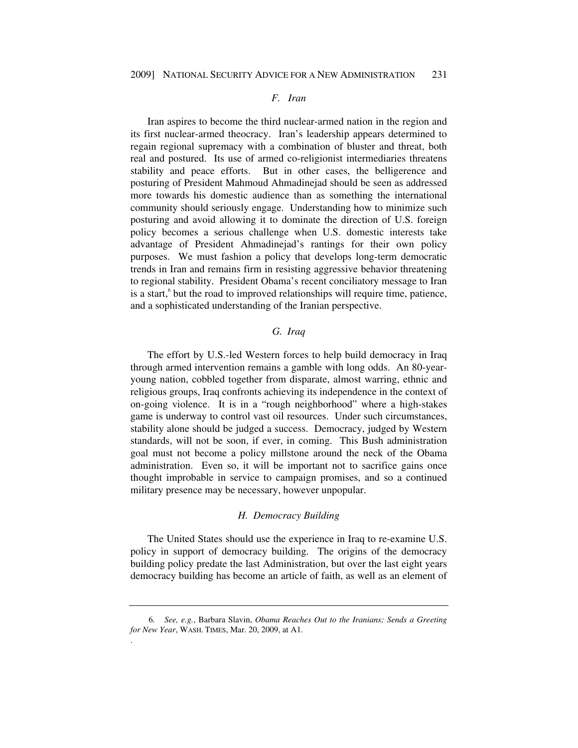#### *F. Iran*

Iran aspires to become the third nuclear-armed nation in the region and its first nuclear-armed theocracy. Iran's leadership appears determined to regain regional supremacy with a combination of bluster and threat, both real and postured. Its use of armed co-religionist intermediaries threatens stability and peace efforts. But in other cases, the belligerence and posturing of President Mahmoud Ahmadinejad should be seen as addressed more towards his domestic audience than as something the international community should seriously engage. Understanding how to minimize such posturing and avoid allowing it to dominate the direction of U.S. foreign policy becomes a serious challenge when U.S. domestic interests take advantage of President Ahmadinejad's rantings for their own policy purposes. We must fashion a policy that develops long-term democratic trends in Iran and remains firm in resisting aggressive behavior threatening to regional stability. President Obama's recent conciliatory message to Iran is a start,<sup>6</sup> but the road to improved relationships will require time, patience, and a sophisticated understanding of the Iranian perspective.

## *G. Iraq*

The effort by U.S.-led Western forces to help build democracy in Iraq through armed intervention remains a gamble with long odds. An 80-yearyoung nation, cobbled together from disparate, almost warring, ethnic and religious groups, Iraq confronts achieving its independence in the context of on-going violence. It is in a "rough neighborhood" where a high-stakes game is underway to control vast oil resources. Under such circumstances, stability alone should be judged a success. Democracy, judged by Western standards, will not be soon, if ever, in coming. This Bush administration goal must not become a policy millstone around the neck of the Obama administration. Even so, it will be important not to sacrifice gains once thought improbable in service to campaign promises, and so a continued military presence may be necessary, however unpopular.

#### *H. Democracy Building*

The United States should use the experience in Iraq to re-examine U.S. policy in support of democracy building. The origins of the democracy building policy predate the last Administration, but over the last eight years democracy building has become an article of faith, as well as an element of

.

<sup>6</sup>*. See, e.g.*, Barbara Slavin, *Obama Reaches Out to the Iranians; Sends a Greeting for New Year*, WASH. TIMES, Mar. 20, 2009, at A1*.*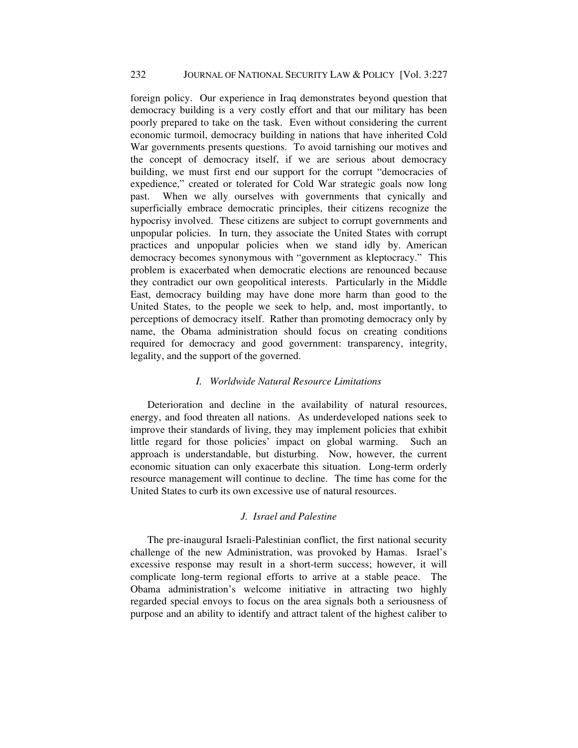foreign policy. Our experience in Iraq demonstrates beyond question that democracy building is a very costly effort and that our military has been poorly prepared to take on the task. Even without considering the current economic turmoil, democracy building in nations that have inherited Cold War governments presents questions. To avoid tarnishing our motives and the concept of democracy itself, if we are serious about democracy building, we must first end our support for the corrupt "democracies of expedience," created or tolerated for Cold War strategic goals now long past. When we ally ourselves with governments that cynically and superficially embrace democratic principles, their citizens recognize the hypocrisy involved. These citizens are subject to corrupt governments and unpopular policies. In turn, they associate the United States with corrupt practices and unpopular policies when we stand idly by. American democracy becomes synonymous with "government as kleptocracy." This problem is exacerbated when democratic elections are renounced because they contradict our own geopolitical interests. Particularly in the Middle East, democracy building may have done more harm than good to the United States, to the people we seek to help, and, most importantly, to perceptions of democracy itself. Rather than promoting democracy only by name, the Obama administration should focus on creating conditions required for democracy and good government: transparency, integrity, legality, and the support of the governed.

## *I. Worldwide Natural Resource Limitations*

Deterioration and decline in the availability of natural resources, energy, and food threaten all nations. As underdeveloped nations seek to improve their standards of living, they may implement policies that exhibit little regard for those policies' impact on global warming. Such an approach is understandable, but disturbing. Now, however, the current economic situation can only exacerbate this situation. Long-term orderly resource management will continue to decline. The time has come for the United States to curb its own excessive use of natural resources.

# *J. Israel and Palestine*

The pre-inaugural Israeli-Palestinian conflict, the first national security challenge of the new Administration, was provoked by Hamas. Israel's excessive response may result in a short-term success; however, it will complicate long-term regional efforts to arrive at a stable peace. The Obama administration's welcome initiative in attracting two highly regarded special envoys to focus on the area signals both a seriousness of purpose and an ability to identify and attract talent of the highest caliber to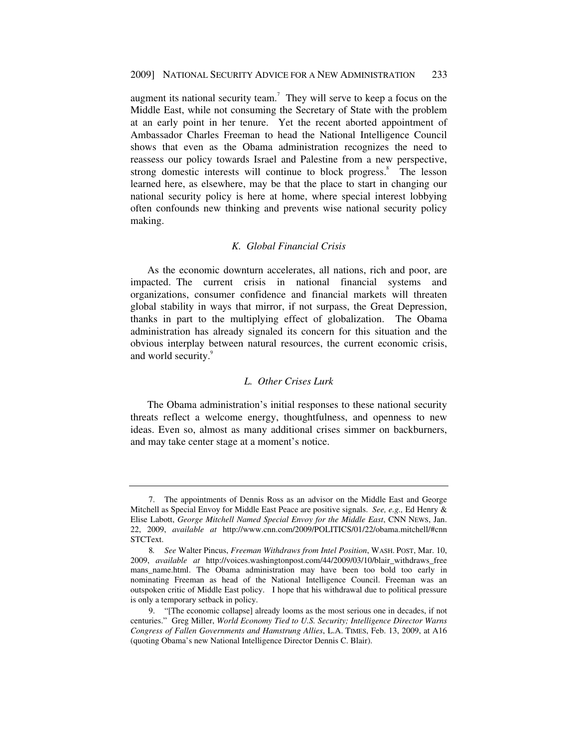augment its national security team.<sup>7</sup> They will serve to keep a focus on the Middle East, while not consuming the Secretary of State with the problem at an early point in her tenure. Yet the recent aborted appointment of Ambassador Charles Freeman to head the National Intelligence Council shows that even as the Obama administration recognizes the need to reassess our policy towards Israel and Palestine from a new perspective, strong domestic interests will continue to block progress.<sup>8</sup> The lesson learned here, as elsewhere, may be that the place to start in changing our national security policy is here at home, where special interest lobbying often confounds new thinking and prevents wise national security policy making.

# *K. Global Financial Crisis*

As the economic downturn accelerates, all nations, rich and poor, are impacted. The current crisis in national financial systems and organizations, consumer confidence and financial markets will threaten global stability in ways that mirror, if not surpass, the Great Depression, thanks in part to the multiplying effect of globalization. The Obama administration has already signaled its concern for this situation and the obvious interplay between natural resources, the current economic crisis, and world security.<sup>9</sup>

#### *L. Other Crises Lurk*

The Obama administration's initial responses to these national security threats reflect a welcome energy, thoughtfulness, and openness to new ideas. Even so, almost as many additional crises simmer on backburners, and may take center stage at a moment's notice.

 <sup>7.</sup> The appointments of Dennis Ross as an advisor on the Middle East and George Mitchell as Special Envoy for Middle East Peace are positive signals. *See, e.g.,* Ed Henry & Elise Labott, *George Mitchell Named Special Envoy for the Middle East*, CNN NEWS, Jan. 22, 2009, *available at* http://www.cnn.com/2009/POLITICS/01/22/obama.mitchell/#cnn STCText.

<sup>8</sup>*. See* Walter Pincus, *Freeman Withdraws from Intel Position*, WASH. POST, Mar. 10, 2009, *available at* http://voices.washingtonpost.com/44/2009/03/10/blair\_withdraws\_free mans\_name.html. The Obama administration may have been too bold too early in nominating Freeman as head of the National Intelligence Council. Freeman was an outspoken critic of Middle East policy. I hope that his withdrawal due to political pressure is only a temporary setback in policy.

 <sup>9. &</sup>quot;[The economic collapse] already looms as the most serious one in decades, if not centuries." Greg Miller, *World Economy Tied to U.S. Security; Intelligence Director Warns Congress of Fallen Governments and Hamstrung Allies*, L.A. TIMES, Feb. 13, 2009, at A16 (quoting Obama's new National Intelligence Director Dennis C. Blair).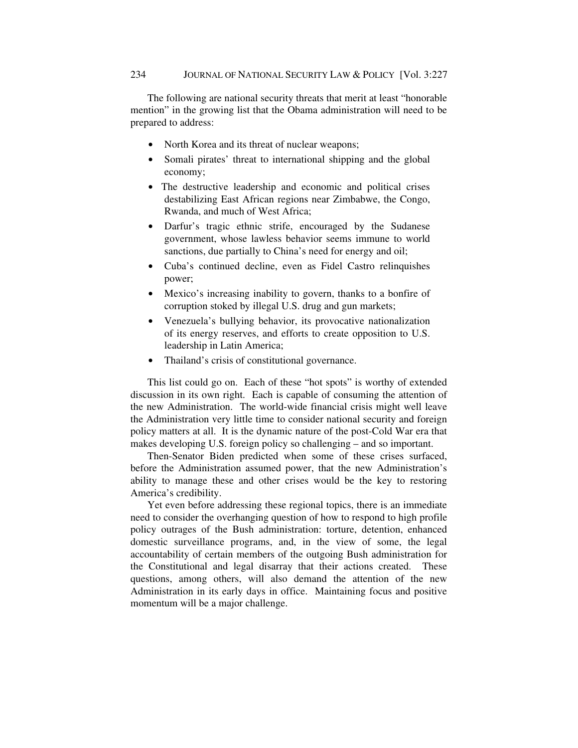The following are national security threats that merit at least "honorable mention" in the growing list that the Obama administration will need to be prepared to address:

- North Korea and its threat of nuclear weapons;
- Somali pirates' threat to international shipping and the global economy;
- The destructive leadership and economic and political crises destabilizing East African regions near Zimbabwe, the Congo, Rwanda, and much of West Africa;
- Darfur's tragic ethnic strife, encouraged by the Sudanese government, whose lawless behavior seems immune to world sanctions, due partially to China's need for energy and oil;
- Cuba's continued decline, even as Fidel Castro relinquishes power;
- Mexico's increasing inability to govern, thanks to a bonfire of corruption stoked by illegal U.S. drug and gun markets;
- Venezuela's bullying behavior, its provocative nationalization of its energy reserves, and efforts to create opposition to U.S. leadership in Latin America;
- Thailand's crisis of constitutional governance.

This list could go on. Each of these "hot spots" is worthy of extended discussion in its own right. Each is capable of consuming the attention of the new Administration. The world-wide financial crisis might well leave the Administration very little time to consider national security and foreign policy matters at all. It is the dynamic nature of the post-Cold War era that makes developing U.S. foreign policy so challenging – and so important.

Then-Senator Biden predicted when some of these crises surfaced, before the Administration assumed power, that the new Administration's ability to manage these and other crises would be the key to restoring America's credibility.

Yet even before addressing these regional topics, there is an immediate need to consider the overhanging question of how to respond to high profile policy outrages of the Bush administration: torture, detention, enhanced domestic surveillance programs, and, in the view of some, the legal accountability of certain members of the outgoing Bush administration for the Constitutional and legal disarray that their actions created. These questions, among others, will also demand the attention of the new Administration in its early days in office. Maintaining focus and positive momentum will be a major challenge.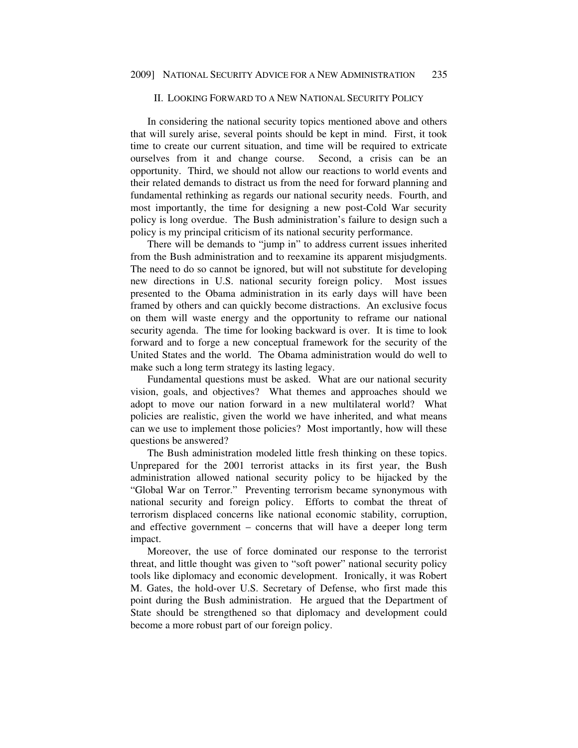## II. LOOKING FORWARD TO A NEW NATIONAL SECURITY POLICY

In considering the national security topics mentioned above and others that will surely arise, several points should be kept in mind. First, it took time to create our current situation, and time will be required to extricate ourselves from it and change course. Second, a crisis can be an opportunity. Third, we should not allow our reactions to world events and their related demands to distract us from the need for forward planning and fundamental rethinking as regards our national security needs. Fourth, and most importantly, the time for designing a new post-Cold War security policy is long overdue. The Bush administration's failure to design such a policy is my principal criticism of its national security performance.

There will be demands to "jump in" to address current issues inherited from the Bush administration and to reexamine its apparent misjudgments. The need to do so cannot be ignored, but will not substitute for developing new directions in U.S. national security foreign policy. Most issues presented to the Obama administration in its early days will have been framed by others and can quickly become distractions. An exclusive focus on them will waste energy and the opportunity to reframe our national security agenda. The time for looking backward is over. It is time to look forward and to forge a new conceptual framework for the security of the United States and the world. The Obama administration would do well to make such a long term strategy its lasting legacy.

Fundamental questions must be asked. What are our national security vision, goals, and objectives? What themes and approaches should we adopt to move our nation forward in a new multilateral world? What policies are realistic, given the world we have inherited, and what means can we use to implement those policies? Most importantly, how will these questions be answered?

The Bush administration modeled little fresh thinking on these topics. Unprepared for the 2001 terrorist attacks in its first year, the Bush administration allowed national security policy to be hijacked by the "Global War on Terror." Preventing terrorism became synonymous with national security and foreign policy. Efforts to combat the threat of terrorism displaced concerns like national economic stability, corruption, and effective government – concerns that will have a deeper long term impact.

Moreover, the use of force dominated our response to the terrorist threat, and little thought was given to "soft power" national security policy tools like diplomacy and economic development. Ironically, it was Robert M. Gates, the hold-over U.S. Secretary of Defense, who first made this point during the Bush administration. He argued that the Department of State should be strengthened so that diplomacy and development could become a more robust part of our foreign policy.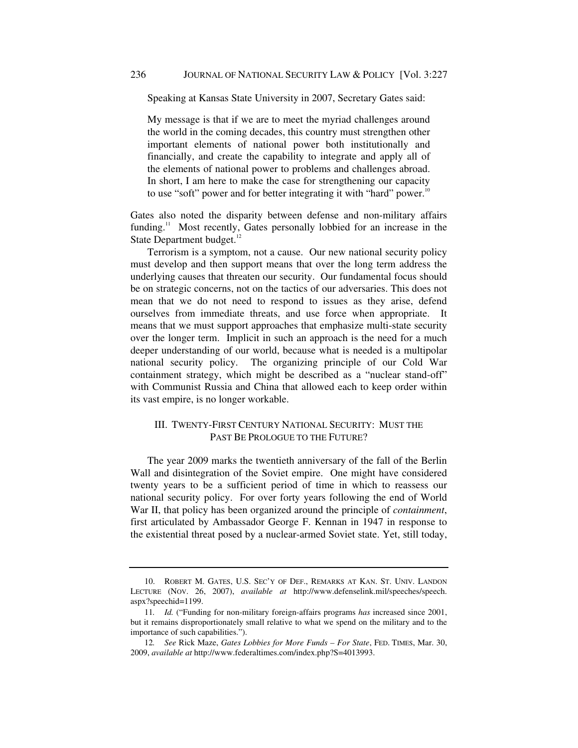Speaking at Kansas State University in 2007, Secretary Gates said:

My message is that if we are to meet the myriad challenges around the world in the coming decades, this country must strengthen other important elements of national power both institutionally and financially, and create the capability to integrate and apply all of the elements of national power to problems and challenges abroad. In short, I am here to make the case for strengthening our capacity to use "soft" power and for better integrating it with "hard" power.<sup>10</sup>

Gates also noted the disparity between defense and non-military affairs funding.<sup>11</sup> Most recently, Gates personally lobbied for an increase in the State Department budget.<sup>12</sup>

Terrorism is a symptom, not a cause. Our new national security policy must develop and then support means that over the long term address the underlying causes that threaten our security. Our fundamental focus should be on strategic concerns, not on the tactics of our adversaries. This does not mean that we do not need to respond to issues as they arise, defend ourselves from immediate threats, and use force when appropriate. It means that we must support approaches that emphasize multi-state security over the longer term. Implicit in such an approach is the need for a much deeper understanding of our world, because what is needed is a multipolar national security policy. The organizing principle of our Cold War containment strategy, which might be described as a "nuclear stand-off" with Communist Russia and China that allowed each to keep order within its vast empire, is no longer workable.

# III. TWENTY-FIRST CENTURY NATIONAL SECURITY: MUST THE PAST BE PROLOGUE TO THE FUTURE?

The year 2009 marks the twentieth anniversary of the fall of the Berlin Wall and disintegration of the Soviet empire. One might have considered twenty years to be a sufficient period of time in which to reassess our national security policy. For over forty years following the end of World War II, that policy has been organized around the principle of *containment*, first articulated by Ambassador George F. Kennan in 1947 in response to the existential threat posed by a nuclear-armed Soviet state. Yet, still today,

 <sup>10.</sup> ROBERT M. GATES, U.S. SEC'Y OF DEF., REMARKS AT KAN. ST. UNIV. LANDON LECTURE (NOV. 26, 2007), *available at* http://www.defenselink.mil/speeches/speech. aspx?speechid=1199.

<sup>11</sup>*. Id.* ("Funding for non-military foreign-affairs programs *has* increased since 2001, but it remains disproportionately small relative to what we spend on the military and to the importance of such capabilities.").

<sup>12</sup>*. See* Rick Maze, *Gates Lobbies for More Funds – For State*, FED. TIMES, Mar. 30, 2009, *available at* http://www.federaltimes.com/index.php?S=4013993.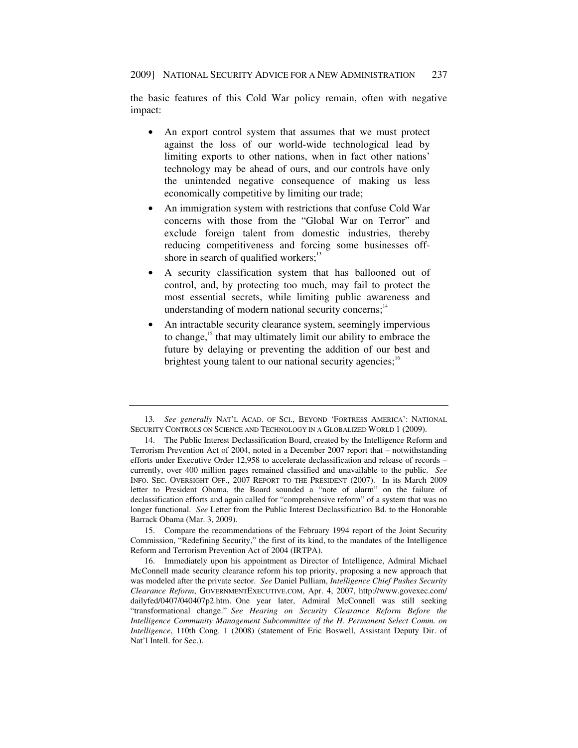the basic features of this Cold War policy remain, often with negative impact:

- An export control system that assumes that we must protect against the loss of our world-wide technological lead by limiting exports to other nations, when in fact other nations' technology may be ahead of ours, and our controls have only the unintended negative consequence of making us less economically competitive by limiting our trade;
- An immigration system with restrictions that confuse Cold War concerns with those from the "Global War on Terror" and exclude foreign talent from domestic industries, thereby reducing competitiveness and forcing some businesses offshore in search of qualified workers; $^{13}$
- A security classification system that has ballooned out of control, and, by protecting too much, may fail to protect the most essential secrets, while limiting public awareness and understanding of modern national security concerns; $14$
- An intractable security clearance system, seemingly impervious to change,<sup>15</sup> that may ultimately limit our ability to embrace the future by delaying or preventing the addition of our best and brightest young talent to our national security agencies;<sup>16</sup>

 15. Compare the recommendations of the February 1994 report of the Joint Security Commission, "Redefining Security," the first of its kind, to the mandates of the Intelligence Reform and Terrorism Prevention Act of 2004 (IRTPA).

<sup>13</sup>*. See generally* NAT'L ACAD. OF SCI., BEYOND 'FORTRESS AMERICA': NATIONAL SECURITY CONTROLS ON SCIENCE AND TECHNOLOGY IN A GLOBALIZED WORLD 1 (2009).

 <sup>14.</sup> The Public Interest Declassification Board, created by the Intelligence Reform and Terrorism Prevention Act of 2004, noted in a December 2007 report that – notwithstanding efforts under Executive Order 12,958 to accelerate declassification and release of records – currently, over 400 million pages remained classified and unavailable to the public. *See* INFO. SEC. OVERSIGHT OFF., 2007 REPORT TO THE PRESIDENT (2007). In its March 2009 letter to President Obama, the Board sounded a "note of alarm" on the failure of declassification efforts and again called for "comprehensive reform" of a system that was no longer functional. *See* Letter from the Public Interest Declassification Bd. to the Honorable Barrack Obama (Mar. 3, 2009).

 <sup>16.</sup> Immediately upon his appointment as Director of Intelligence, Admiral Michael McConnell made security clearance reform his top priority, proposing a new approach that was modeled after the private sector. *See* Daniel Pulliam, *Intelligence Chief Pushes Security Clearance Reform*, GOVERNMENTEXECUTIVE.COM, Apr. 4, 2007, http://www.govexec.com/ dailyfed/0407/040407p2.htm. One year later, Admiral McConnell was still seeking "transformational change." *See Hearing on Security Clearance Reform Before the Intelligence Community Management Subcommittee of the H. Permanent Select Comm. on Intelligence*, 110th Cong. 1 (2008) (statement of Eric Boswell, Assistant Deputy Dir. of Nat'l Intell. for Sec.).